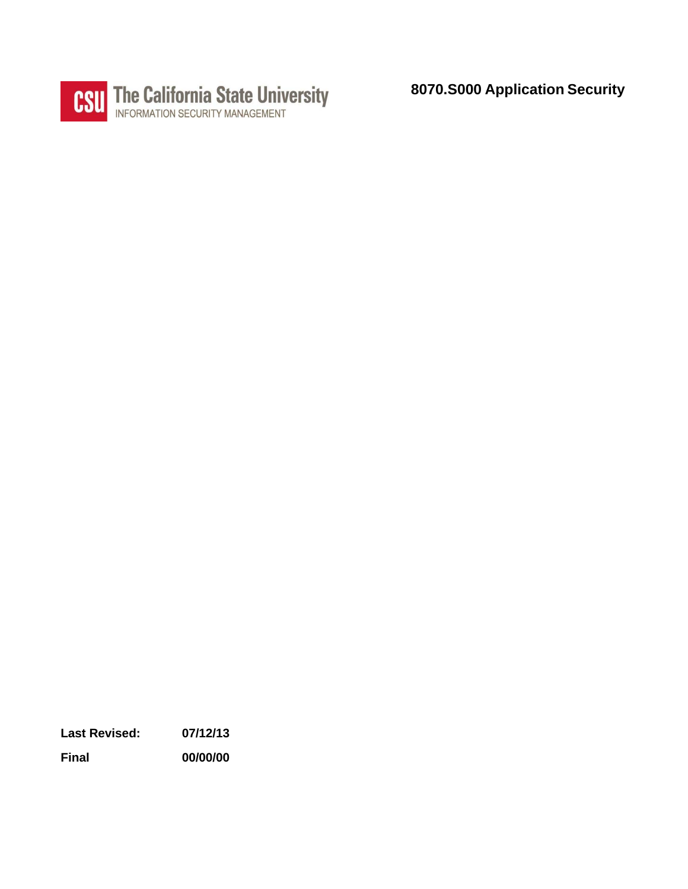

**8070.S000 Application Security** 

**Last Revised: 07/12/13** 

**Final 00/00/00**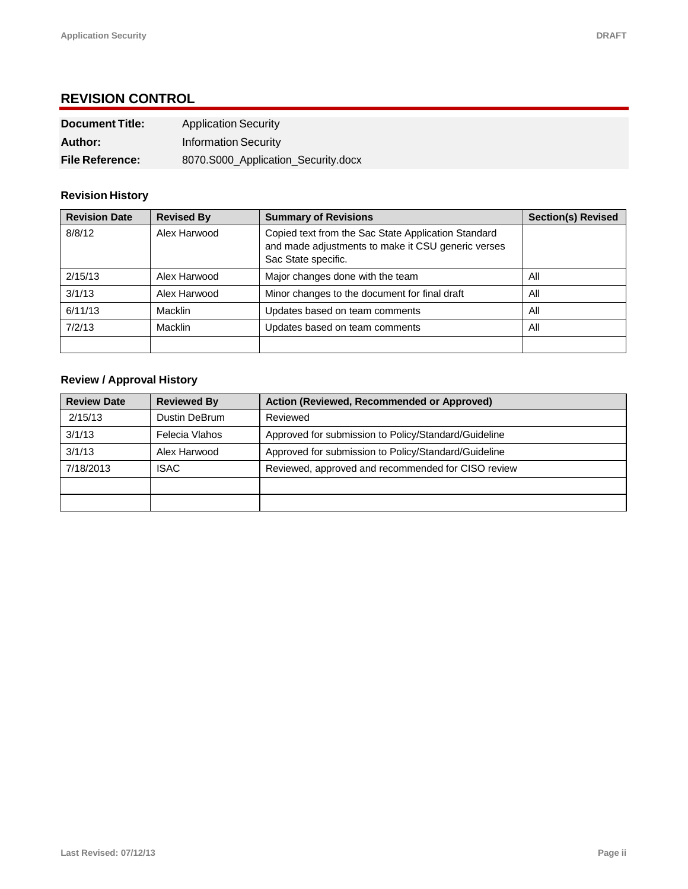## **REVISION CONTROL**

| <b>Document Title:</b> | <b>Application Security</b>         |
|------------------------|-------------------------------------|
| Author:                | <b>Information Security</b>         |
| <b>File Reference:</b> | 8070.S000_Application_Security.docx |

### **Revision History**

| <b>Revision Date</b> | <b>Revised By</b> | <b>Summary of Revisions</b>                                                                                                      | <b>Section(s) Revised</b> |
|----------------------|-------------------|----------------------------------------------------------------------------------------------------------------------------------|---------------------------|
| 8/8/12               | Alex Harwood      | Copied text from the Sac State Application Standard<br>and made adjustments to make it CSU generic verses<br>Sac State specific. |                           |
| 2/15/13              | Alex Harwood      | Major changes done with the team                                                                                                 | All                       |
| 3/1/13               | Alex Harwood      | Minor changes to the document for final draft                                                                                    | All                       |
| 6/11/13              | Macklin           | Updates based on team comments                                                                                                   | All                       |
| 7/2/13               | Macklin           | Updates based on team comments                                                                                                   | All                       |
|                      |                   |                                                                                                                                  |                           |

#### **Review / Approval History**

| <b>Review Date</b> | <b>Reviewed By</b> | Action (Reviewed, Recommended or Approved)           |
|--------------------|--------------------|------------------------------------------------------|
| 2/15/13            | Dustin DeBrum      | Reviewed                                             |
| 3/1/13             | Felecia Vlahos     | Approved for submission to Policy/Standard/Guideline |
| 3/1/13             | Alex Harwood       | Approved for submission to Policy/Standard/Guideline |
| 7/18/2013          | <b>ISAC</b>        | Reviewed, approved and recommended for CISO review   |
|                    |                    |                                                      |
|                    |                    |                                                      |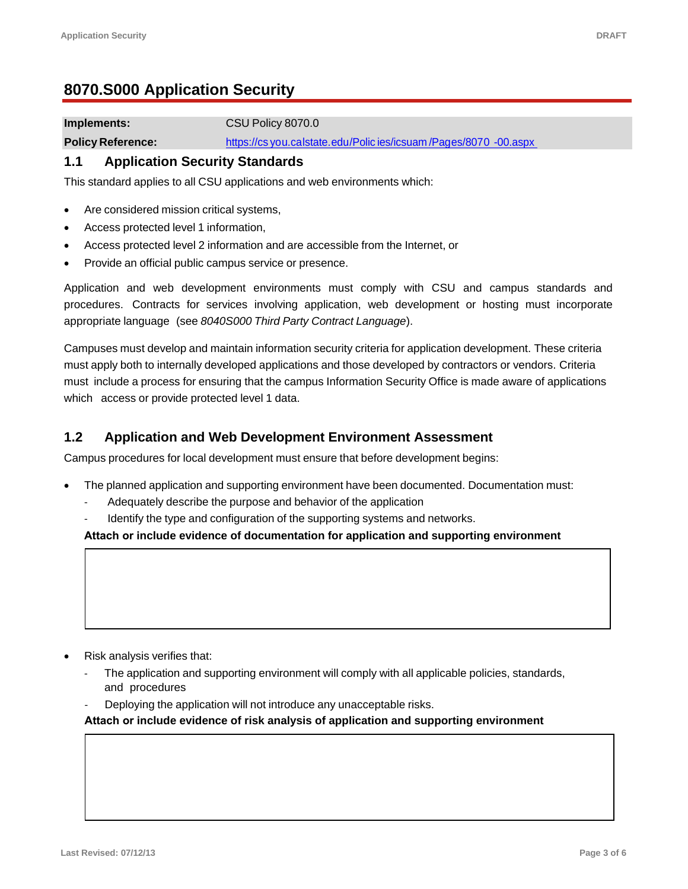# **8070.S000 Application Security**

**Implements:** CSU Policy 8070.0

**Policy Reference:** https://cs you.calstate.edu/Polic ies/icsuam/Pages/8070 -00.aspx

### **1.1 Application Security Standards**

This standard applies to all CSU applications and web environments which:

- Are considered mission critical systems,
- Access protected level 1 information,
- Access protected level 2 information and are accessible from the Internet, or
- Provide an official public campus service or presence.

 Application and web development environments must comply with CSU and campus standards and procedures. Contracts for services involving application, web development or hosting must incorporate appropriate language (see *[8040S000 Third Party Contract Language](http://www.csuchico.edu/isec/documents/supplemental_provisions_for_IT_acquisition.pdf)*).

Campuses must develop and maintain information security criteria for application development. These criteria must apply both to internally developed applications and those developed by contractors or vendors. Criteria must include a process for ensuring that the campus Information Security Office is made aware of applications which access or provide protected level 1 data.

## **1.2 Application and Web Development Environment Assessment**

Campus procedures for local development must ensure that before development begins:

- The planned application and supporting environment have been documented. Documentation must:
	- Adequately describe the purpose and behavior of the application
	- Identify the type and configuration of the supporting systems and networks.

**Attach or include evidence of documentation for application and supporting environment** 

- Risk analysis verifies that:
	- ‐ The application and supporting environment will comply with all applicable policies, standards, and procedures
	- ‐ Deploying the application will not introduce any unacceptable risks.

**Attach or include evidence of risk analysis of application and supporting environment**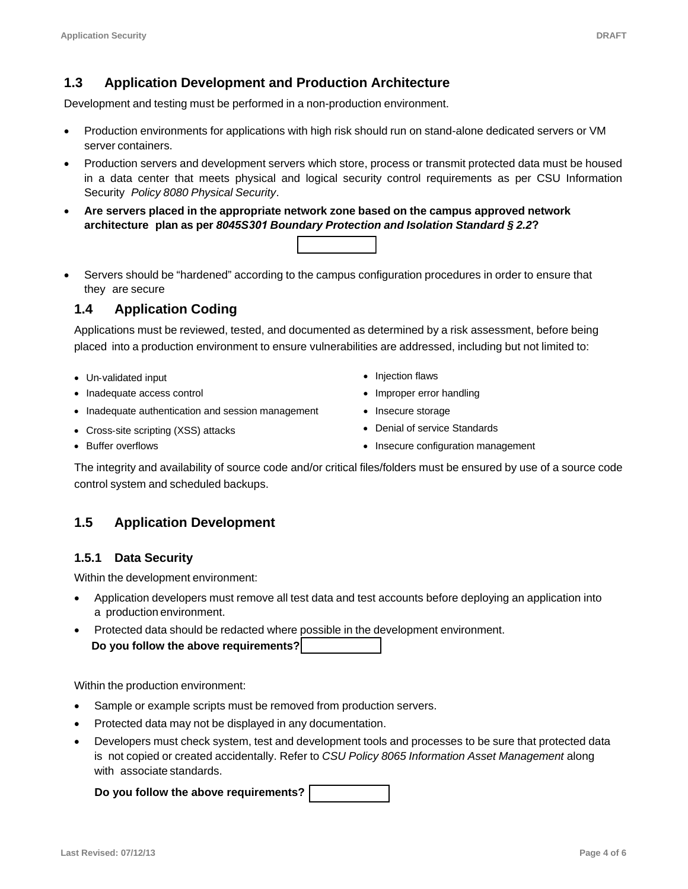## **1.3 Application Development and Production Architecture**

Development and testing must be performed in a non-production environment.

- Production environments for applications with high risk should run on stand-alone dedicated servers or VM server containers.
- in a data center that meets physical and logical security control requirements as per CSU Information Production servers and development servers which store, process or transmit protected data must be housed Security *Policy 8080 Physical Security*.
- **Are servers placed in the appropriate network zone based on the campus approved network architecture plan as per** *8045S301 [Boundary Protection and Isolation Standard § 2.2](http://www.csuchico.edu/isec/policies_standards/8045.S301_Boundary_Protection.pdf)***?**
- Servers should be "hardened" according to the campus configuration procedures in order to ensure that they are secure

## **1.4 Application Coding**

Applications must be reviewed, tested, and documented as determined by a risk assessment, before being placed into a production environment to ensure vulnerabilities are addressed, including but not limited to:

- Un-validated input **Injection flaws**
- Inadequate access control **Improper error handling Improper error handling**
- Inadequate authentication and session management Insecure storage
- Cross-site scripting (XSS) attacks **Denial of service Standards**
- 
- 
- 
- 
- Buffer overflows **Insecure configuration management** Insecure configuration management

The integrity and availability of source code and/or critical files/folders must be ensured by use of a source code control system and scheduled backups.

## **1.5 Application Development**

### **1.5.1 Data Security**

Within the development environment:

- Application developers must remove all test data and test accounts before deploying an application into a production environment.
- Protected data should be redacted where possible in the development environment. **Do you follow the above requirements?**

Within the production environment:

- Sample or example scripts must be removed from production servers.
- Protected data may not be displayed in any documentation.
- Developers must check system, test and development tools and processes to be sure that protected data is not copied or created accidentally. Refer to *[CSU Policy 8065 Information Asset Management](http://www.csuchico.edu/isec/policies_standards/8065.00.pdf)* along with associate standards.

**Do you follow the above requirements?**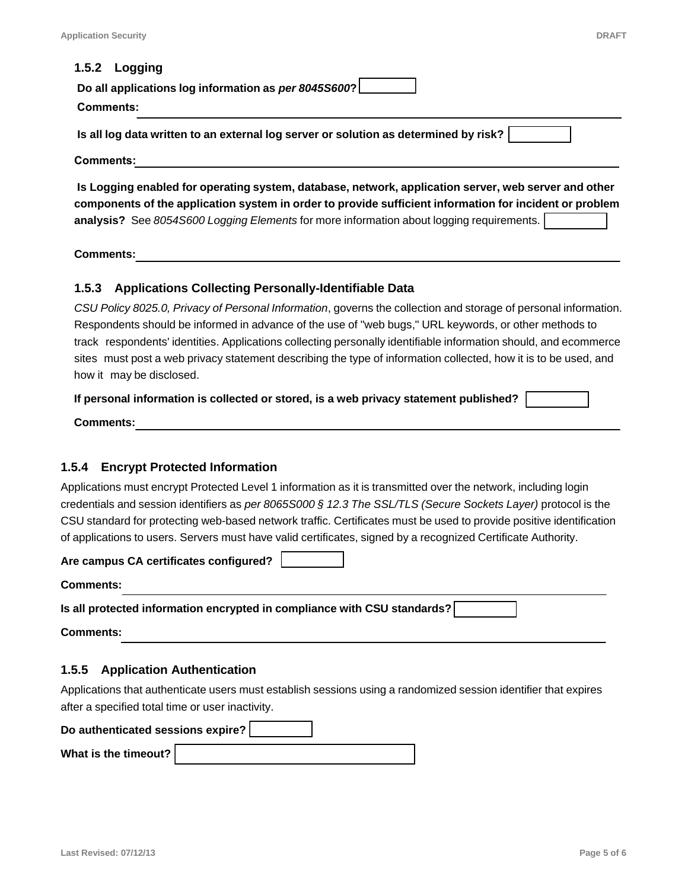#### **1.5.2 Logging**

| Do all applications log information as per 8045S600? |  |
|------------------------------------------------------|--|
| Comments:                                            |  |

**Is all log data written to an external log server or solution as determined by risk?** 

**Comments:** 

 **Is Logging enabled for operating system, database, network, application server, web server and other components of the application system in order to provide sufficient information for incident or problem analysis?** See *[8054S600 Logging Elements](http://www.csuchico.edu/isec/policies_standards/8045.S600_Logging_Elements.pdf)* for more information about logging requirements.

**Comments:** 

#### **1.5.3 Applications Collecting Personally-Identifiable Data**

 Respondents should be informed in advance of the use of "web bugs," URL keywords, or other methods to sites must post a web privacy statement describing the type of information collected, how it is to be used, and how it may be disclosed. *[CSU Policy 8025.0, Privacy of Personal Information](http://www.csuchico.edu/isec/policies_standards/8025.00.pdf)*, governs the collection and storage of personal information. track respondents' identities. Applications collecting personally identifiable information should, and ecommerce

**If personal information is collected or stored, is a web privacy statement published?** 

**Comments:** 

#### **1.5.4 Encrypt Protected Information**

 CSU standard for protecting web-based network traffic. Certificates must be used to provide positive identification Applications must encrypt Protected Level 1 information as it is transmitted over the network, including login credentials and session identifiers as *per 8065S000 § 12.3 The SSL/TLS (Secure Sockets Layer)* protocol is the of applications to users. Servers must have valid certificates, signed by a recognized Certificate Authority.

**Are campus CA certificates configured?** 

**Comments:** 

**Is all protected information encrypted in compliance with CSU standards?** 

**Comments:** 

#### **1.5.5 Application Authentication**

 after a specified total time or user inactivity. Applications that authenticate users must establish sessions using a randomized session identifier that expires

| Do authenticated sessions expire? |  |  |
|-----------------------------------|--|--|
| What is the timeout? $\vert$      |  |  |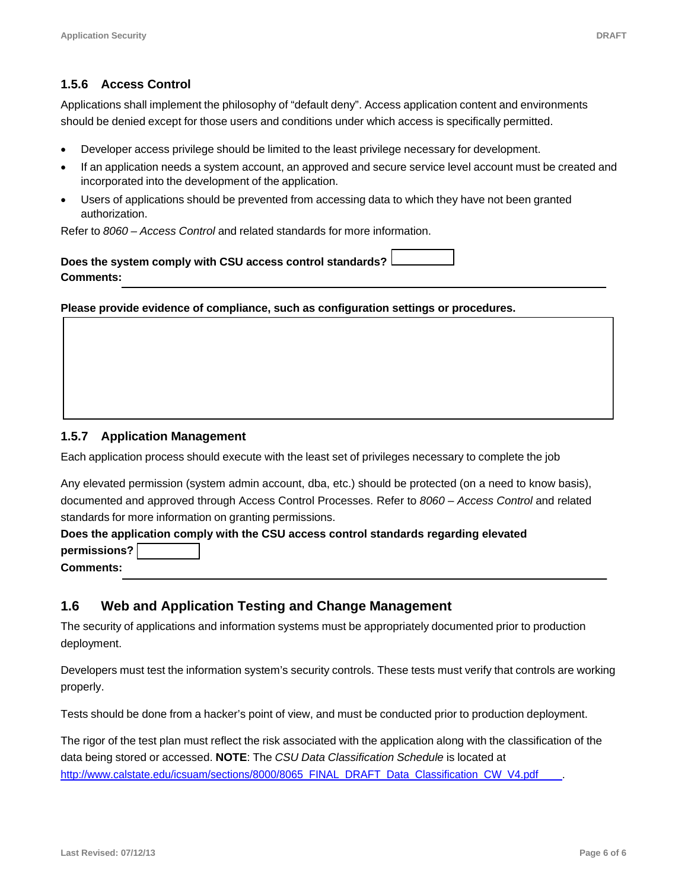### **1.5.6 Access Control**

Applications shall implement the philosophy of "default deny". Access application content and environments should be denied except for those users and conditions under which access is specifically permitted.

- Developer access privilege should be limited to the least privilege necessary for development.
- If an application needs a system account, an approved and secure service level account must be created and incorporated into the development of the application.
- Users of applications should be prevented from accessing data to which they have not been granted authorization.

Refer to *[8060 – Access Control](http://www.csuchico.edu/isec/policies_standards/8060.00.pdf)* and related standards for more information.

**Does the system comply with CSU access control standards? Comments:** 

**Please provide evidence of compliance, such as configuration settings or procedures.** 

### **1.5.7 Application Management**

Each application process should execute with the least set of privileges necessary to complete the job

Any elevated permission (system admin account, dba, etc.) should be protected (on a need to know basis), documented and approved through Access Control Processes. Refer to *[8060 – Access Control](http://www.csuchico.edu/isec/policies_standards/8060.00.pdf)* and related standards for more information on granting permissions.

#### **Does the application comply with the CSU access control standards regarding elevated permissions?**

**Comments:** 

### **1.6 Web and Application Testing and Change Management**

The security of applications and information systems must be appropriately documented prior to production deployment.

 Developers must test the information system's security controls. These tests must verify that controls are working properly.

Tests should be done from a hacker's point of view, and must be conducted prior to production deployment.

 The rigor of the test plan must reflect the risk associated with the application along with the classification of the data being stored or accessed. **NOTE**: The *CSU Data Classification Schedule* is located at [http://www.calstate.edu/icsuam/sections/8000/8065\\_FINAL\\_DRAFT\\_Data\\_Classification\\_CW\\_V4.pdf](http://www.calstate.edu/icsuam/sections/8000/8065_FINAL_DRAFT_Data_Classification_CW_V4.pdf)